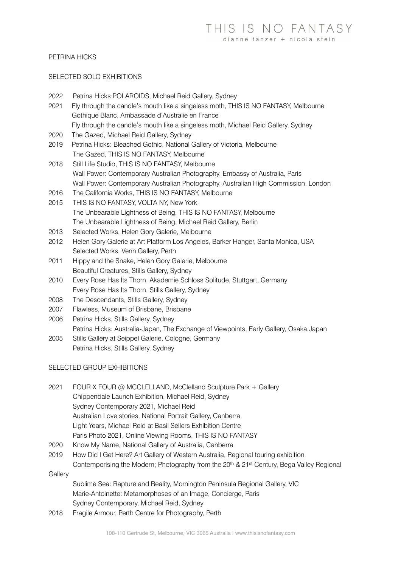### PETRINA HICKS

#### SELECTED SOLO EXHIBITIONS

| 2022 | Petrina Hicks POLAROIDS, Michael Reid Gallery, Sydney                                   |
|------|-----------------------------------------------------------------------------------------|
| 2021 | Fly through the candle's mouth like a singeless moth, THIS IS NO FANTASY, Melbourne     |
|      | Gothique Blanc, Ambassade d'Australie en France                                         |
|      | Fly through the candle's mouth like a singeless moth, Michael Reid Gallery, Sydney      |
| 2020 | The Gazed, Michael Reid Gallery, Sydney                                                 |
| 2019 | Petrina Hicks: Bleached Gothic, National Gallery of Victoria, Melbourne                 |
|      | The Gazed, THIS IS NO FANTASY, Melbourne                                                |
| 2018 | Still Life Studio, THIS IS NO FANTASY, Melbourne                                        |
|      | Wall Power: Contemporary Australian Photography, Embassy of Australia, Paris            |
|      | Wall Power: Contemporary Australian Photography, Australian High Commission, London     |
| 2016 | The California Works, THIS IS NO FANTASY, Melbourne                                     |
| 2015 | THIS IS NO FANTASY, VOLTA NY, New York                                                  |
|      | The Unbearable Lightness of Being, THIS IS NO FANTASY, Melbourne                        |
|      | The Unbearable Lightness of Being, Michael Reid Gallery, Berlin                         |
| 2013 | Selected Works, Helen Gory Galerie, Melbourne                                           |
| 2012 | Helen Gory Galerie at Art Platform Los Angeles, Barker Hanger, Santa Monica, USA        |
|      | Selected Works, Venn Gallery, Perth                                                     |
| 2011 | Hippy and the Snake, Helen Gory Galerie, Melbourne                                      |
|      | Beautiful Creatures, Stills Gallery, Sydney                                             |
| 2010 | Every Rose Has Its Thorn, Akademie Schloss Solitude, Stuttgart, Germany                 |
|      | Every Rose Has Its Thorn, Stills Gallery, Sydney                                        |
| 2008 | The Descendants, Stills Gallery, Sydney                                                 |
| 2007 | Flawless, Museum of Brisbane, Brisbane                                                  |
| 2006 | Petrina Hicks, Stills Gallery, Sydney                                                   |
|      | Petrina Hicks: Australia-Japan, The Exchange of Viewpoints, Early Gallery, Osaka, Japan |
|      |                                                                                         |

2005 Stills Gallery at Seippel Galerie, Cologne, Germany Petrina Hicks, Stills Gallery, Sydney

### SELECTED GROUP EXHIBITIONS

- 2021 FOUR X FOUR @ MCCLELLAND, McClelland Sculpture Park + Gallery Chippendale Launch Exhibition, Michael Reid, Sydney Sydney Contemporary 2021, Michael Reid Australian Love stories, National Portrait Gallery, Canberra Light Years, Michael Reid at Basil Sellers Exhibition Centre Paris Photo 2021, Online Viewing Rooms, THIS IS NO FANTASY
- 2020 Know My Name, National Gallery of Australia, Canberra
- 2019 How Did I Get Here? Art Gallery of Western Australia, Regional touring exhibition Contemporising the Modern; Photography from the 20<sup>th</sup> & 21<sup>st</sup> Century, Bega Valley Regional

**Gallery** 

Sublime Sea: Rapture and Reality, Mornington Peninsula Regional Gallery, VIC Marie-Antoinette: Metamorphoses of an Image, Concierge, Paris Sydney Contemporary, Michael Reid, Sydney

2018 Fragile Armour, Perth Centre for Photography, Perth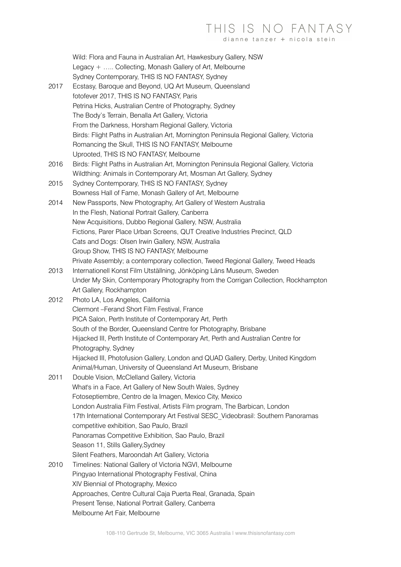# THIS IS NO FANTASY dianne tanzer + nicola steir

Wild: Flora and Fauna in Australian Art, Hawkesbury Gallery, NSW Legacy + ….. Collecting, Monash Gallery of Art, Melbourne Sydney Contemporary, THIS IS NO FANTASY, Sydney

- 2017 Ecstasy, Baroque and Beyond, UQ Art Museum, Queensland fotofever 2017, THIS IS NO FANTASY, Paris Petrina Hicks, Australian Centre of Photography, Sydney The Body's Terrain, Benalla Art Gallery, Victoria From the Darkness, Horsham Regional Gallery, Victoria Birds: Flight Paths in Australian Art, Mornington Peninsula Regional Gallery, Victoria Romancing the Skull, THIS IS NO FANTASY, Melbourne Uprooted, THIS IS NO FANTASY, Melbourne
- 2016 Birds: Flight Paths in Australian Art, Mornington Peninsula Regional Gallery, Victoria Wildthing: Animals in Contemporary Art, Mosman Art Gallery, Sydney
- 2015 Sydney Contemporary, THIS IS NO FANTASY, Sydney Bowness Hall of Fame, Monash Gallery of Art, Melbourne
- 2014 New Passports, New Photography, Art Gallery of Western Australia In the Flesh, National Portrait Gallery, Canberra New Acquisitions, Dubbo Regional Gallery, NSW, Australia Fictions, Parer Place Urban Screens, QUT Creative Industries Precinct, QLD Cats and Dogs: Olsen Irwin Gallery, NSW, Australia Group Show, THIS IS NO FANTASY, Melbourne Private Assembly; a contemporary collection, Tweed Regional Gallery, Tweed Heads
- 2013 Internationell Konst Film Utställning, Jönköping Läns Museum, Sweden Under My Skin, Contemporary Photography from the Corrigan Collection, Rockhampton Art Gallery, Rockhampton
- 2012 Photo LA, Los Angeles, California Clermont –Ferand Short Film Festival, France PICA Salon, Perth Institute of Contemporary Art, Perth South of the Border, Queensland Centre for Photography, Brisbane Hijacked III, Perth Institute of Contemporary Art, Perth and Australian Centre for Photography, Sydney Hijacked III, Photofusion Gallery, London and QUAD Gallery, Derby, United Kingdom Animal/Human, University of Queensland Art Museum, Brisbane 2011 Double Vision, McClelland Gallery, Victoria
- What's in a Face, Art Gallery of New South Wales, Sydney Fotoseptiembre, Centro de la Imagen, Mexico City, Mexico London Australia Film Festival, Artists Film program, The Barbican, London 17th International Contemporary Art Festival SESC Videobrasil: Southern Panoramas competitive exhibition, Sao Paulo, Brazil Panoramas Competitive Exhibition, Sao Paulo, Brazil Season 11, Stills Gallery,Sydney Silent Feathers, Maroondah Art Gallery, Victoria 2010 Timelines: National Gallery of Victoria NGVI, Melbourne Pingyao International Photography Festival, China
	- XIV Biennial of Photography, Mexico Approaches, Centre Cultural Caja Puerta Real, Granada, Spain Present Tense, National Portrait Gallery, Canberra Melbourne Art Fair, Melbourne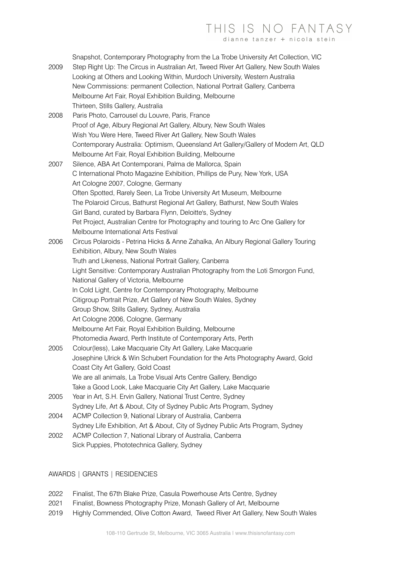# THIS IS NO FANTASY dianne tanzer + nicola stei

Snapshot, Contemporary Photography from the La Trobe University Art Collection, VIC

- 2009 Step Right Up: The Circus in Australian Art, Tweed River Art Gallery, New South Wales Looking at Others and Looking Within, Murdoch University, Western Australia New Commissions: permanent Collection, National Portrait Gallery, Canberra Melbourne Art Fair, Royal Exhibition Building, Melbourne Thirteen, Stills Gallery, Australia
- 2008 Paris Photo, Carrousel du Louvre, Paris, France Proof of Age, Albury Regional Art Gallery, Albury, New South Wales Wish You Were Here, Tweed River Art Gallery, New South Wales Contemporary Australia: Optimism, Queensland Art Gallery/Gallery of Modern Art, QLD Melbourne Art Fair, Royal Exhibition Building, Melbourne
- 2007 Silence, ABA Art Contemporani, Palma de Mallorca, Spain C International Photo Magazine Exhibition, Phillips de Pury, New York, USA Art Cologne 2007, Cologne, Germany Often Spotted, Rarely Seen, La Trobe University Art Museum, Melbourne The Polaroid Circus, Bathurst Regional Art Gallery, Bathurst, New South Wales Girl Band, curated by Barbara Flynn, Deloitte's, Sydney Pet Project, Australian Centre for Photography and touring to Arc One Gallery for Melbourne International Arts Festival
- 2006 Circus Polaroids Petrina Hicks & Anne Zahalka, An Albury Regional Gallery Touring Exhibition, Albury, New South Wales Truth and Likeness, National Portrait Gallery, Canberra Light Sensitive: Contemporary Australian Photography from the Loti Smorgon Fund, National Gallery of Victoria, Melbourne In Cold Light, Centre for Contemporary Photography, Melbourne Citigroup Portrait Prize, Art Gallery of New South Wales, Sydney Group Show, Stills Gallery, Sydney, Australia Art Cologne 2006, Cologne, Germany Melbourne Art Fair, Royal Exhibition Building, Melbourne Photomedia Award, Perth Institute of Contemporary Arts, Perth
- 2005 Colour(less), Lake Macquarie City Art Gallery, Lake Macquarie Josephine Ulrick & Win Schubert Foundation for the Arts Photography Award, Gold Coast City Art Gallery, Gold Coast We are all animals, La Trobe Visual Arts Centre Gallery, Bendigo Take a Good Look, Lake Macquarie City Art Gallery, Lake Macquarie
- 2005 Year in Art, S.H. Ervin Gallery, National Trust Centre, Sydney Sydney Life, Art & About, City of Sydney Public Arts Program, Sydney
- 2004 ACMP Collection 9, National Library of Australia, Canberra Sydney Life Exhibition, Art & About, City of Sydney Public Arts Program, Sydney 2002 ACMP Collection 7, National Library of Australia, Canberra
- Sick Puppies, Phototechnica Gallery, Sydney

## AWARDS | GRANTS | RESIDENCIES

- 2022 Finalist, The 67th Blake Prize, Casula Powerhouse Arts Centre, Sydney
- 2021 Finalist, Bowness Photography Prize, Monash Gallery of Art, Melbourne
- 2019 Highly Commended, Olive Cotton Award, Tweed River Art Gallery, New South Wales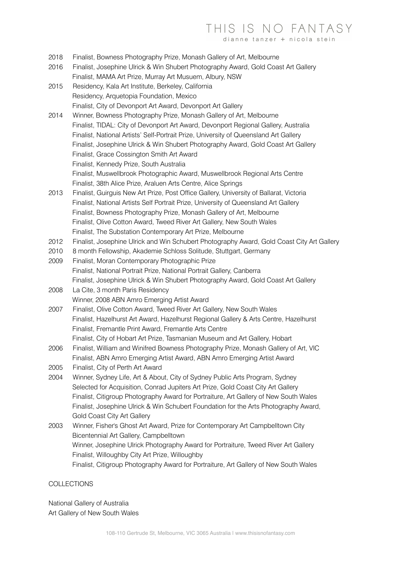# THIS IS NO FANTASY

dianne tanzer + nicola steir

- 2018 Finalist, Bowness Photography Prize, Monash Gallery of Art, Melbourne
- 2016 Finalist, Josephine Ulrick & Win Shubert Photography Award, Gold Coast Art Gallery Finalist, MAMA Art Prize, Murray Art Musuem, Albury, NSW
- 2015 Residency, Kala Art Institute, Berkeley, California Residency, Arquetopia Foundation, Mexico Finalist, City of Devonport Art Award, Devonport Art Gallery
- 2014 Winner, Bowness Photography Prize, Monash Gallery of Art, Melbourne Finalist, TIDAL: City of Devonport Art Award, Devonport Regional Gallery, Australia Finalist, National Artists' Self-Portrait Prize, University of Queensland Art Gallery Finalist, Josephine Ulrick & Win Shubert Photography Award, Gold Coast Art Gallery Finalist, Grace Cossington Smith Art Award
	- Finalist, Kennedy Prize, South Australia
	- Finalist, Muswellbrook Photographic Award, Muswellbrook Regional Arts Centre Finalist, 38th Alice Prize, Araluen Arts Centre, Alice Springs
- 2013 Finalist, Guirguis New Art Prize, Post Office Gallery, University of Ballarat, Victoria Finalist, National Artists Self Portrait Prize, University of Queensland Art Gallery Finalist, Bowness Photography Prize, Monash Gallery of Art, Melbourne Finalist, Olive Cotton Award, Tweed River Art Gallery, New South Wales Finalist, The Substation Contemporary Art Prize, Melbourne
- 2012 Finalist, Josephine Ulrick and Win Schubert Photography Award, Gold Coast City Art Gallery
- 2010 8 month Fellowship, Akademie Schloss Solitude, Stuttgart, Germany
- 2009 Finalist, Moran Contemporary Photographic Prize Finalist, National Portrait Prize, National Portrait Gallery, Canberra Finalist, Josephine Ulrick & Win Shubert Photography Award, Gold Coast Art Gallery
- 2008 La Cite, 3 month Paris Residency Winner, 2008 ABN Amro Emerging Artist Award
- 2007 Finalist, Olive Cotton Award, Tweed River Art Gallery, New South Wales Finalist, Hazelhurst Art Award, Hazelhurst Regional Gallery & Arts Centre, Hazelhurst Finalist, Fremantle Print Award, Fremantle Arts Centre Finalist, City of Hobart Art Prize, Tasmanian Museum and Art Gallery, Hobart
- 2006 Finalist, William and Winifred Bowness Photography Prize, Monash Gallery of Art, VIC
- Finalist, ABN Amro Emerging Artist Award, ABN Amro Emerging Artist Award 2005 Finalist, City of Perth Art Award
- 2004 Winner, Sydney Life, Art & About, City of Sydney Public Arts Program, Sydney Selected for Acquisition, Conrad Jupiters Art Prize, Gold Coast City Art Gallery Finalist, Citigroup Photography Award for Portraiture, Art Gallery of New South Wales Finalist, Josephine Ulrick & Win Schubert Foundation for the Arts Photography Award, Gold Coast City Art Gallery
- 2003 Winner, Fisher's Ghost Art Award, Prize for Contemporary Art Campbelltown City Bicentennial Art Gallery, Campbelltown Winner, Josephine Ulrick Photography Award for Portraiture, Tweed River Art Gallery Finalist, Willoughby City Art Prize, Willoughby Finalist, Citigroup Photography Award for Portraiture, Art Gallery of New South Wales

### COLLECTIONS

National Gallery of Australia Art Gallery of New South Wales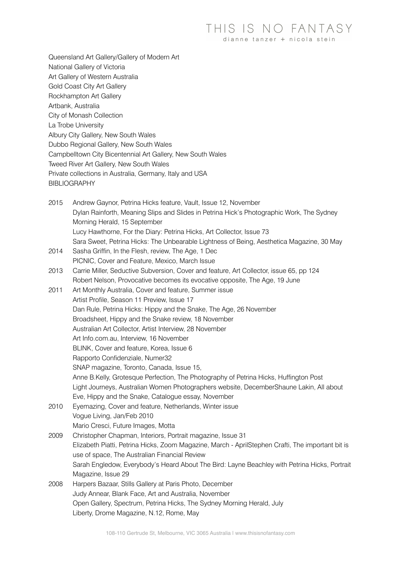Queensland Art Gallery/Gallery of Modern Art National Gallery of Victoria Art Gallery of Western Australia Gold Coast City Art Gallery Rockhampton Art Gallery Artbank, Australia City of Monash Collection La Trobe University Albury City Gallery, New South Wales Dubbo Regional Gallery, New South Wales Campbelltown City Bicentennial Art Gallery, New South Wales Tweed River Art Gallery, New South Wales Private collections in Australia, Germany, Italy and USA **BIBLIOGRAPHY** 

- 2015 Andrew Gaynor, Petrina Hicks feature, Vault, Issue 12, November Dylan Rainforth, Meaning Slips and Slides in Petrina Hick's Photographic Work, The Sydney Morning Herald, 15 September Lucy Hawthorne, For the Diary: Petrina Hicks, Art Collector, Issue 73 Sara Sweet, Petrina Hicks: The Unbearable Lightness of Being, Aesthetica Magazine, 30 May
- 2014 Sasha Griffin, In the Flesh, review, The Age, 1 Dec PICNIC, Cover and Feature, Mexico, March Issue
- 2013 Carrie Miller, Seductive Subversion, Cover and feature, Art Collector, issue 65, pp 124 Robert Nelson, Provocative becomes its evocative opposite, The Age, 19 June
- 2011 Art Monthly Australia, Cover and feature, Summer issue Artist Profile, Season 11 Preview, Issue 17 Dan Rule, Petrina Hicks: Hippy and the Snake, The Age, 26 November Broadsheet, Hippy and the Snake review, 18 November Australian Art Collector, Artist Interview, 28 November Art Info.com.au, Interview, 16 November BLINK, Cover and feature, Korea, Issue 6 Rapporto Confidenziale, Numer32 SNAP magazine, Toronto, Canada, Issue 15, Anne B.Kelly, Grotesque Perfection, The Photography of Petrina Hicks, Huffington Post Light Journeys, Australian Women Photographers website, DecemberShaune Lakin, All about Eve, Hippy and the Snake, Catalogue essay, November
- 2010 Eyemazing, Cover and feature, Netherlands, Winter issue Vogue Living, Jan/Feb 2010 Mario Cresci, Future Images, Motta
- 2009 Christopher Chapman, Interiors, Portrait magazine, Issue 31 Elizabeth Piatti, Petrina Hicks, Zoom Magazine, March - AprilStephen Crafti, The important bit is use of space, The Australian Financial Review Sarah Engledow, Everybody's Heard About The Bird: Layne Beachley with Petrina Hicks, Portrait Magazine, Issue 29 2008 Harpers Bazaar, Stills Gallery at Paris Photo, December
- Judy Annear, Blank Face, Art and Australia, November Open Gallery, Spectrum, Petrina Hicks, The Sydney Morning Herald, July Liberty, Drome Magazine, N.12, Rome, May